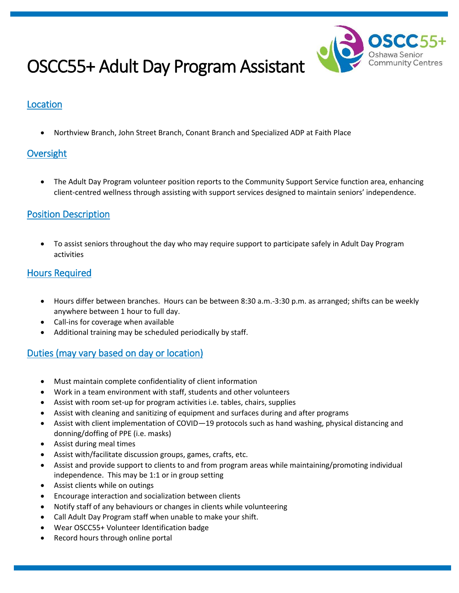

# OSCC55+ Adult Day Program Assistant

# Location

Northview Branch, John Street Branch, Conant Branch and Specialized ADP at Faith Place

# **Oversight**

 The Adult Day Program volunteer position reports to the Community Support Service function area, enhancing client-centred wellness through assisting with support services designed to maintain seniors' independence.

## Position Description

 To assist seniors throughout the day who may require support to participate safely in Adult Day Program activities

#### Hours Required

- Hours differ between branches. Hours can be between 8:30 a.m.-3:30 p.m. as arranged; shifts can be weekly anywhere between 1 hour to full day.
- Call-ins for coverage when available
- Additional training may be scheduled periodically by staff.

## Duties (may vary based on day or location)

- Must maintain complete confidentiality of client information
- Work in a team environment with staff, students and other volunteers
- Assist with room set-up for program activities i.e. tables, chairs, supplies
- Assist with cleaning and sanitizing of equipment and surfaces during and after programs
- Assist with client implementation of COVID—19 protocols such as hand washing, physical distancing and donning/doffing of PPE (i.e. masks)
- Assist during meal times
- Assist with/facilitate discussion groups, games, crafts, etc.
- Assist and provide support to clients to and from program areas while maintaining/promoting individual independence. This may be 1:1 or in group setting
- Assist clients while on outings
- Encourage interaction and socialization between clients
- Notify staff of any behaviours or changes in clients while volunteering
- Call Adult Day Program staff when unable to make your shift.
- Wear OSCC55+ Volunteer Identification badge
- Record hours through online portal